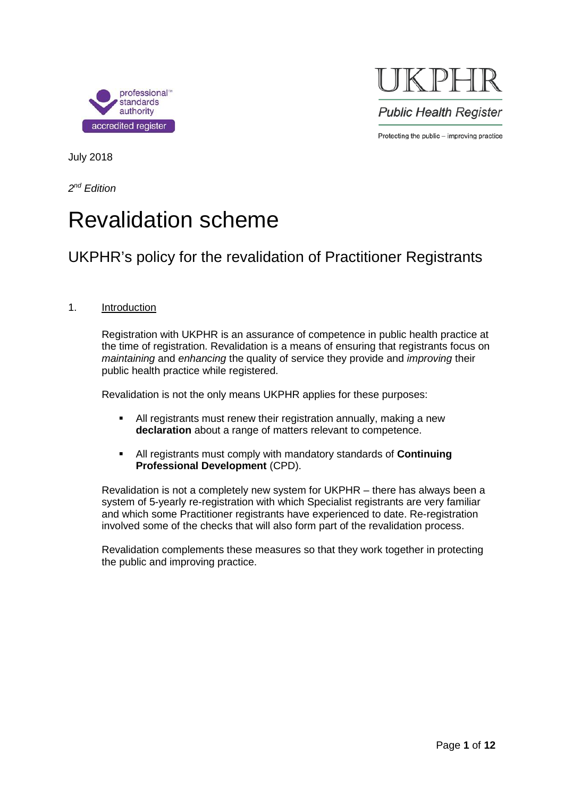



July 2018

*2nd Edition*

# Revalidation scheme

## UKPHR's policy for the revalidation of Practitioner Registrants

#### 1. Introduction

Registration with UKPHR is an assurance of competence in public health practice at the time of registration. Revalidation is a means of ensuring that registrants focus on *maintaining* and *enhancing* the quality of service they provide and *improving* their public health practice while registered.

Revalidation is not the only means UKPHR applies for these purposes:

- All registrants must renew their registration annually, making a new **declaration** about a range of matters relevant to competence.
- All registrants must comply with mandatory standards of **Continuing Professional Development** (CPD).

Revalidation is not a completely new system for UKPHR – there has always been a system of 5-yearly re-registration with which Specialist registrants are very familiar and which some Practitioner registrants have experienced to date. Re-registration involved some of the checks that will also form part of the revalidation process.

Revalidation complements these measures so that they work together in protecting the public and improving practice.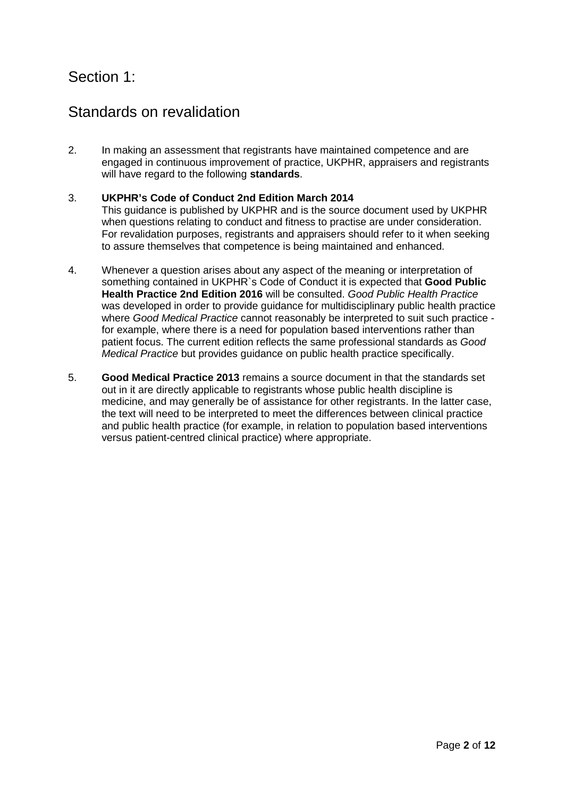### Section 1:

### Standards on revalidation

2. In making an assessment that registrants have maintained competence and are engaged in continuous improvement of practice, UKPHR, appraisers and registrants will have regard to the following **standards**.

#### 3. **UKPHR's Code of Conduct 2nd Edition March 2014**

This guidance is published by UKPHR and is the source document used by UKPHR when questions relating to conduct and fitness to practise are under consideration. For revalidation purposes, registrants and appraisers should refer to it when seeking to assure themselves that competence is being maintained and enhanced.

- 4. Whenever a question arises about any aspect of the meaning or interpretation of something contained in UKPHR`s Code of Conduct it is expected that **Good Public Health Practice 2nd Edition 2016** will be consulted. *Good Public Health Practice* was developed in order to provide guidance for multidisciplinary public health practice where *Good Medical Practice* cannot reasonably be interpreted to suit such practice for example, where there is a need for population based interventions rather than patient focus. The current edition reflects the same professional standards as *Good Medical Practice* but provides guidance on public health practice specifically.
- 5. **Good Medical Practice 2013** remains a source document in that the standards set out in it are directly applicable to registrants whose public health discipline is medicine, and may generally be of assistance for other registrants. In the latter case, the text will need to be interpreted to meet the differences between clinical practice and public health practice (for example, in relation to population based interventions versus patient-centred clinical practice) where appropriate.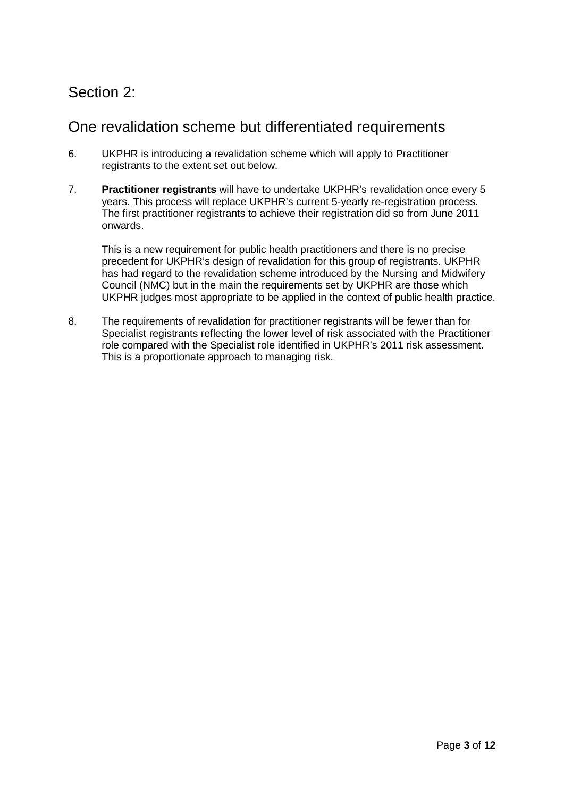# Section 2:

### One revalidation scheme but differentiated requirements

- 6. UKPHR is introducing a revalidation scheme which will apply to Practitioner registrants to the extent set out below.
- 7. **Practitioner registrants** will have to undertake UKPHR's revalidation once every 5 years. This process will replace UKPHR's current 5-yearly re-registration process. The first practitioner registrants to achieve their registration did so from June 2011 onwards.

This is a new requirement for public health practitioners and there is no precise precedent for UKPHR's design of revalidation for this group of registrants. UKPHR has had regard to the revalidation scheme introduced by the Nursing and Midwifery Council (NMC) but in the main the requirements set by UKPHR are those which UKPHR judges most appropriate to be applied in the context of public health practice.

8. The requirements of revalidation for practitioner registrants will be fewer than for Specialist registrants reflecting the lower level of risk associated with the Practitioner role compared with the Specialist role identified in UKPHR's 2011 risk assessment. This is a proportionate approach to managing risk.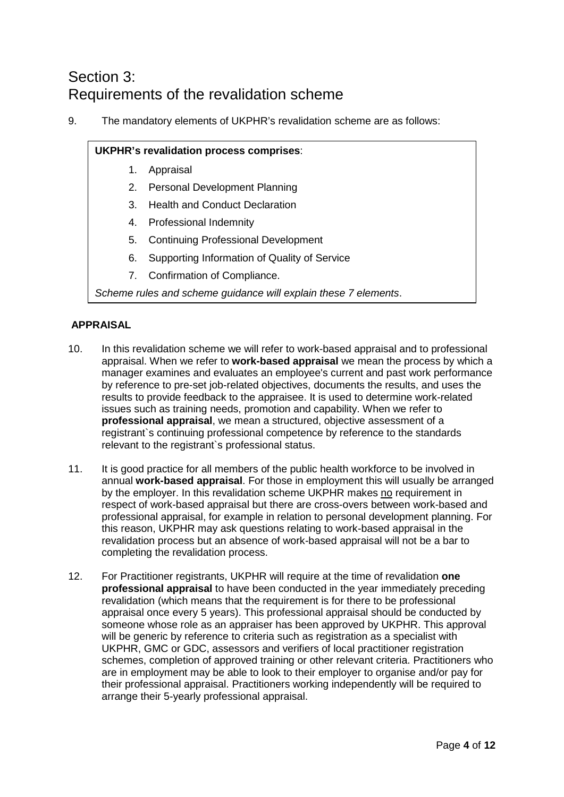# Section 3: Requirements of the revalidation scheme

9. The mandatory elements of UKPHR's revalidation scheme are as follows:

#### **UKPHR's revalidation process comprises**:

- 1. Appraisal
- 2. Personal Development Planning
- 3. Health and Conduct Declaration
- 4. Professional Indemnity
- 5. Continuing Professional Development
- 6. Supporting Information of Quality of Service
- 7. Confirmation of Compliance.

*Scheme rules and scheme guidance will explain these 7 elements*.

#### **APPRAISAL**

- 10. In this revalidation scheme we will refer to work-based appraisal and to professional appraisal. When we refer to **work-based appraisal** we mean the process by which a manager examines and evaluates an employee's current and past work performance by reference to pre-set job-related objectives, documents the results, and uses the results to provide feedback to the appraisee. It is used to determine work-related issues such as training needs, promotion and capability. When we refer to **professional appraisal**, we mean a structured, objective assessment of a registrant`s continuing professional competence by reference to the standards relevant to the registrant`s professional status.
- 11. It is good practice for all members of the public health workforce to be involved in annual **work-based appraisal**. For those in employment this will usually be arranged by the employer. In this revalidation scheme UKPHR makes no requirement in respect of work-based appraisal but there are cross-overs between work-based and professional appraisal, for example in relation to personal development planning. For this reason, UKPHR may ask questions relating to work-based appraisal in the revalidation process but an absence of work-based appraisal will not be a bar to completing the revalidation process.
- 12. For Practitioner registrants, UKPHR will require at the time of revalidation **one professional appraisal** to have been conducted in the year immediately preceding revalidation (which means that the requirement is for there to be professional appraisal once every 5 years). This professional appraisal should be conducted by someone whose role as an appraiser has been approved by UKPHR. This approval will be generic by reference to criteria such as registration as a specialist with UKPHR, GMC or GDC, assessors and verifiers of local practitioner registration schemes, completion of approved training or other relevant criteria. Practitioners who are in employment may be able to look to their employer to organise and/or pay for their professional appraisal. Practitioners working independently will be required to arrange their 5-yearly professional appraisal.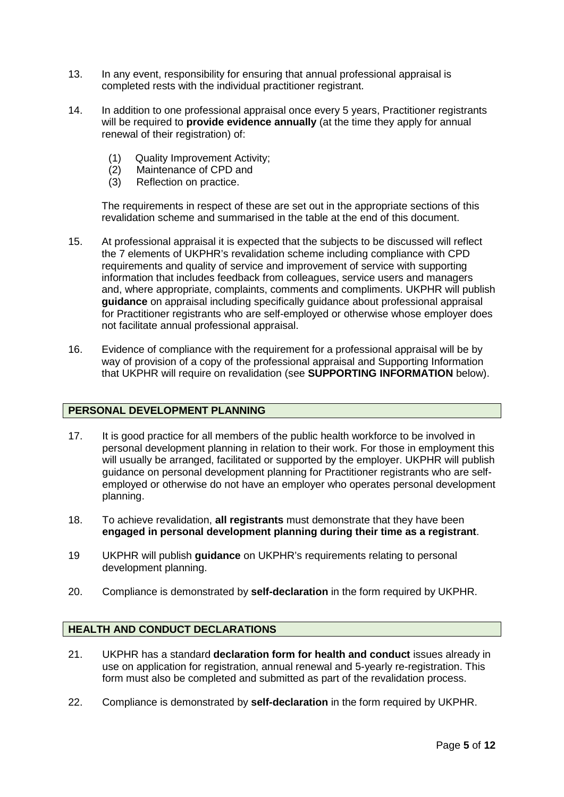- 13. In any event, responsibility for ensuring that annual professional appraisal is completed rests with the individual practitioner registrant.
- 14. In addition to one professional appraisal once every 5 years, Practitioner registrants will be required to **provide evidence annually** (at the time they apply for annual renewal of their registration) of:
	- (1) Quality Improvement Activity;
	- (2) Maintenance of CPD and
	- (3) Reflection on practice.

The requirements in respect of these are set out in the appropriate sections of this revalidation scheme and summarised in the table at the end of this document.

- 15. At professional appraisal it is expected that the subjects to be discussed will reflect the 7 elements of UKPHR's revalidation scheme including compliance with CPD requirements and quality of service and improvement of service with supporting information that includes feedback from colleagues, service users and managers and, where appropriate, complaints, comments and compliments. UKPHR will publish **guidance** on appraisal including specifically guidance about professional appraisal for Practitioner registrants who are self-employed or otherwise whose employer does not facilitate annual professional appraisal.
- 16. Evidence of compliance with the requirement for a professional appraisal will be by way of provision of a copy of the professional appraisal and Supporting Information that UKPHR will require on revalidation (see **SUPPORTING INFORMATION** below).

#### **PERSONAL DEVELOPMENT PLANNING**

- 17. It is good practice for all members of the public health workforce to be involved in personal development planning in relation to their work. For those in employment this will usually be arranged, facilitated or supported by the employer. UKPHR will publish guidance on personal development planning for Practitioner registrants who are selfemployed or otherwise do not have an employer who operates personal development planning.
- 18. To achieve revalidation, **all registrants** must demonstrate that they have been **engaged in personal development planning during their time as a registrant**.
- 19 UKPHR will publish **guidance** on UKPHR's requirements relating to personal development planning.
- 20. Compliance is demonstrated by **self-declaration** in the form required by UKPHR.

#### **HEALTH AND CONDUCT DECLARATIONS**

- 21. UKPHR has a standard **declaration form for health and conduct** issues already in use on application for registration, annual renewal and 5-yearly re-registration. This form must also be completed and submitted as part of the revalidation process.
- 22. Compliance is demonstrated by **self-declaration** in the form required by UKPHR.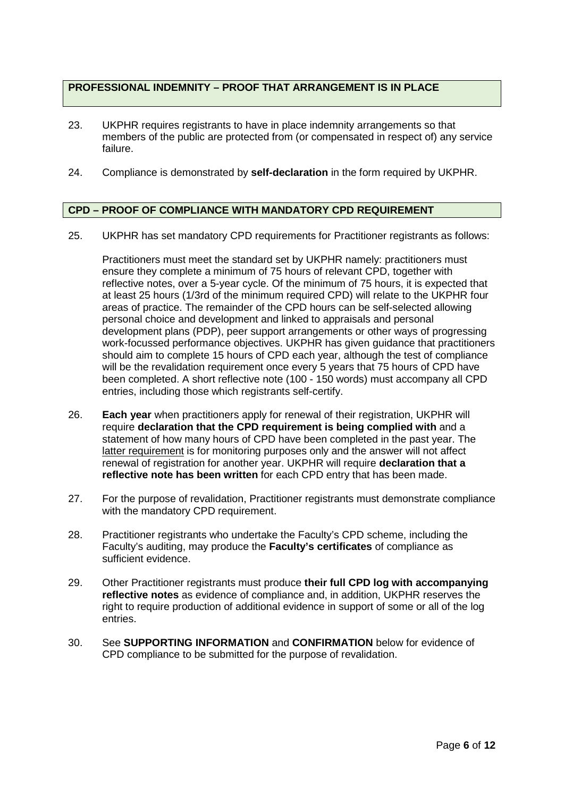#### **PROFESSIONAL INDEMNITY – PROOF THAT ARRANGEMENT IS IN PLACE**

- 23. UKPHR requires registrants to have in place indemnity arrangements so that members of the public are protected from (or compensated in respect of) any service failure.
- 24. Compliance is demonstrated by **self-declaration** in the form required by UKPHR.

#### **CPD – PROOF OF COMPLIANCE WITH MANDATORY CPD REQUIREMENT**

25. UKPHR has set mandatory CPD requirements for Practitioner registrants as follows:

Practitioners must meet the standard set by UKPHR namely: practitioners must ensure they complete a minimum of 75 hours of relevant CPD, together with reflective notes, over a 5-year cycle. Of the minimum of 75 hours, it is expected that at least 25 hours (1/3rd of the minimum required CPD) will relate to the UKPHR four areas of practice. The remainder of the CPD hours can be self-selected allowing personal choice and development and linked to appraisals and personal development plans (PDP), peer support arrangements or other ways of progressing work-focussed performance objectives. UKPHR has given guidance that practitioners should aim to complete 15 hours of CPD each year, although the test of compliance will be the revalidation requirement once every 5 years that 75 hours of CPD have been completed. A short reflective note (100 - 150 words) must accompany all CPD entries, including those which registrants self-certify.

- 26. **Each year** when practitioners apply for renewal of their registration, UKPHR will require **declaration that the CPD requirement is being complied with** and a statement of how many hours of CPD have been completed in the past year. The latter requirement is for monitoring purposes only and the answer will not affect renewal of registration for another year. UKPHR will require **declaration that a reflective note has been written** for each CPD entry that has been made.
- 27. For the purpose of revalidation, Practitioner registrants must demonstrate compliance with the mandatory CPD requirement.
- 28. Practitioner registrants who undertake the Faculty's CPD scheme, including the Faculty's auditing, may produce the **Faculty's certificates** of compliance as sufficient evidence.
- 29. Other Practitioner registrants must produce **their full CPD log with accompanying reflective notes** as evidence of compliance and, in addition, UKPHR reserves the right to require production of additional evidence in support of some or all of the log entries.
- 30. See **SUPPORTING INFORMATION** and **CONFIRMATION** below for evidence of CPD compliance to be submitted for the purpose of revalidation.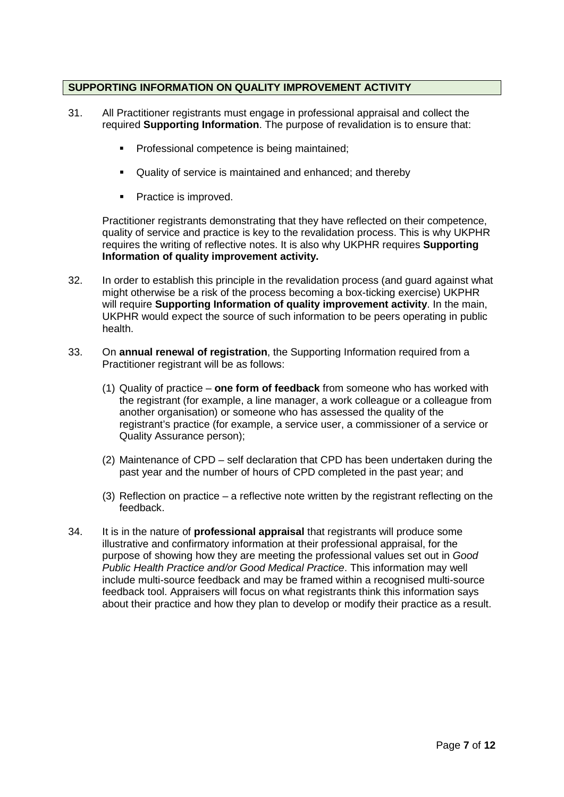#### **SUPPORTING INFORMATION ON QUALITY IMPROVEMENT ACTIVITY**

- 31. All Practitioner registrants must engage in professional appraisal and collect the required **Supporting Information**. The purpose of revalidation is to ensure that:
	- Professional competence is being maintained;
	- Quality of service is maintained and enhanced; and thereby
	- Practice is improved.

Practitioner registrants demonstrating that they have reflected on their competence, quality of service and practice is key to the revalidation process. This is why UKPHR requires the writing of reflective notes. It is also why UKPHR requires **Supporting Information of quality improvement activity.**

- 32. In order to establish this principle in the revalidation process (and guard against what might otherwise be a risk of the process becoming a box-ticking exercise) UKPHR will require **Supporting Information of quality improvement activity**. In the main, UKPHR would expect the source of such information to be peers operating in public health.
- 33. On **annual renewal of registration**, the Supporting Information required from a Practitioner registrant will be as follows:
	- (1) Quality of practice **one form of feedback** from someone who has worked with the registrant (for example, a line manager, a work colleague or a colleague from another organisation) or someone who has assessed the quality of the registrant's practice (for example, a service user, a commissioner of a service or Quality Assurance person);
	- (2) Maintenance of CPD self declaration that CPD has been undertaken during the past year and the number of hours of CPD completed in the past year; and
	- (3) Reflection on practice a reflective note written by the registrant reflecting on the feedback.
- 34. It is in the nature of **professional appraisal** that registrants will produce some illustrative and confirmatory information at their professional appraisal, for the purpose of showing how they are meeting the professional values set out in *Good Public Health Practice and/or Good Medical Practice*. This information may well include multi-source feedback and may be framed within a recognised multi-source feedback tool. Appraisers will focus on what registrants think this information says about their practice and how they plan to develop or modify their practice as a result.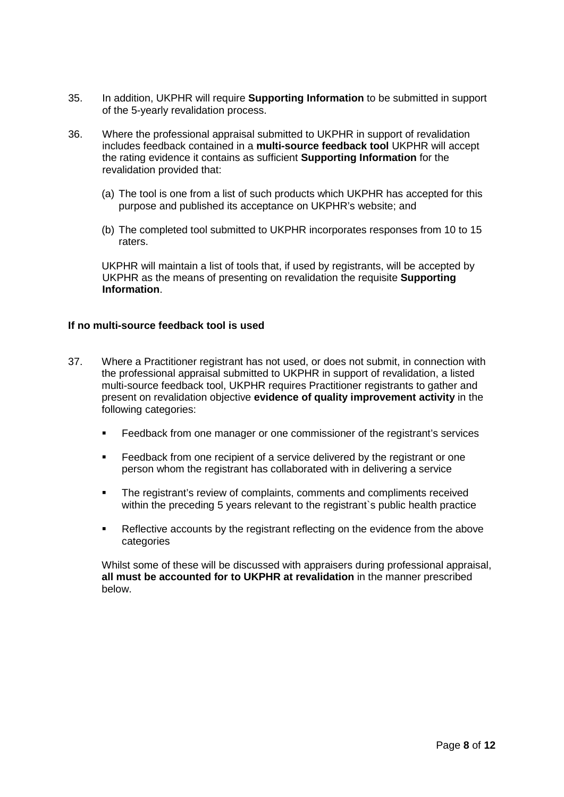- 35. In addition, UKPHR will require **Supporting Information** to be submitted in support of the 5-yearly revalidation process.
- 36. Where the professional appraisal submitted to UKPHR in support of revalidation includes feedback contained in a **multi-source feedback tool** UKPHR will accept the rating evidence it contains as sufficient **Supporting Information** for the revalidation provided that:
	- (a) The tool is one from a list of such products which UKPHR has accepted for this purpose and published its acceptance on UKPHR's website; and
	- (b) The completed tool submitted to UKPHR incorporates responses from 10 to 15 raters.

UKPHR will maintain a list of tools that, if used by registrants, will be accepted by UKPHR as the means of presenting on revalidation the requisite **Supporting Information**.

#### **If no multi-source feedback tool is used**

- 37. Where a Practitioner registrant has not used, or does not submit, in connection with the professional appraisal submitted to UKPHR in support of revalidation, a listed multi-source feedback tool, UKPHR requires Practitioner registrants to gather and present on revalidation objective **evidence of quality improvement activity** in the following categories:
	- **Feedback from one manager or one commissioner of the registrant's services**
	- Feedback from one recipient of a service delivered by the registrant or one person whom the registrant has collaborated with in delivering a service
	- The registrant's review of complaints, comments and compliments received within the preceding 5 years relevant to the registrant s public health practice
	- **Reflective accounts by the registrant reflecting on the evidence from the above** categories

Whilst some of these will be discussed with appraisers during professional appraisal, **all must be accounted for to UKPHR at revalidation** in the manner prescribed below.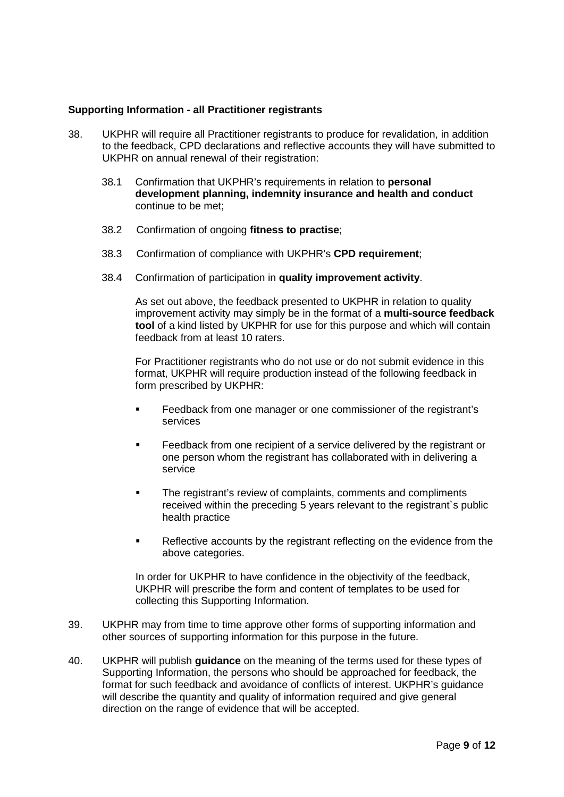#### **Supporting Information - all Practitioner registrants**

- 38. UKPHR will require all Practitioner registrants to produce for revalidation, in addition to the feedback, CPD declarations and reflective accounts they will have submitted to UKPHR on annual renewal of their registration:
	- 38.1 Confirmation that UKPHR's requirements in relation to **personal development planning, indemnity insurance and health and conduct** continue to be met;
	- 38.2 Confirmation of ongoing **fitness to practise**;
	- 38.3 Confirmation of compliance with UKPHR's **CPD requirement**;
	- 38.4 Confirmation of participation in **quality improvement activity**.

As set out above, the feedback presented to UKPHR in relation to quality improvement activity may simply be in the format of a **multi-source feedback tool** of a kind listed by UKPHR for use for this purpose and which will contain feedback from at least 10 raters.

For Practitioner registrants who do not use or do not submit evidence in this format, UKPHR will require production instead of the following feedback in form prescribed by UKPHR:

- Feedback from one manager or one commissioner of the registrant's services
- **Feedback from one recipient of a service delivered by the registrant or** one person whom the registrant has collaborated with in delivering a service
- The registrant's review of complaints, comments and compliments received within the preceding 5 years relevant to the registrant`s public health practice
- Reflective accounts by the registrant reflecting on the evidence from the above categories.

In order for UKPHR to have confidence in the objectivity of the feedback, UKPHR will prescribe the form and content of templates to be used for collecting this Supporting Information.

- 39. UKPHR may from time to time approve other forms of supporting information and other sources of supporting information for this purpose in the future.
- 40. UKPHR will publish **guidance** on the meaning of the terms used for these types of Supporting Information, the persons who should be approached for feedback, the format for such feedback and avoidance of conflicts of interest. UKPHR's guidance will describe the quantity and quality of information required and give general direction on the range of evidence that will be accepted.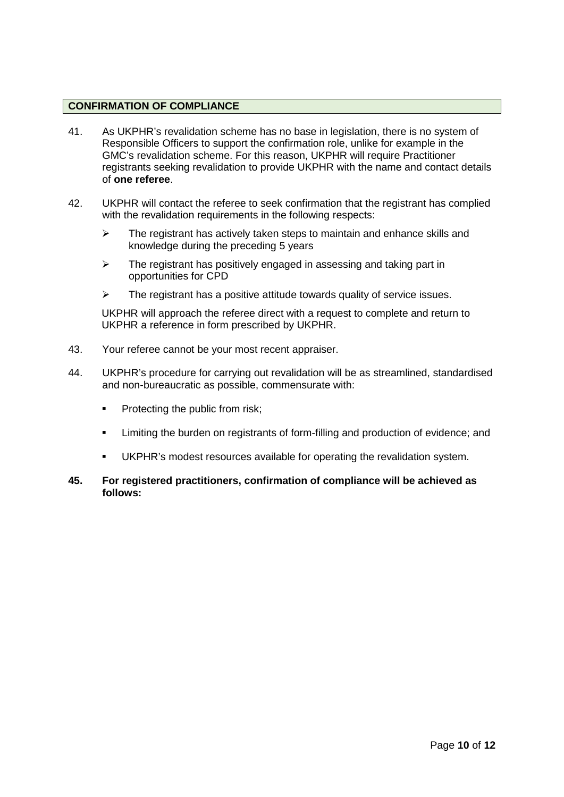#### **CONFIRMATION OF COMPLIANCE**

- 41. As UKPHR's revalidation scheme has no base in legislation, there is no system of Responsible Officers to support the confirmation role, unlike for example in the GMC's revalidation scheme. For this reason, UKPHR will require Practitioner registrants seeking revalidation to provide UKPHR with the name and contact details of **one referee**.
- 42. UKPHR will contact the referee to seek confirmation that the registrant has complied with the revalidation requirements in the following respects:
	- $\triangleright$  The registrant has actively taken steps to maintain and enhance skills and knowledge during the preceding 5 years
	- $\triangleright$  The registrant has positively engaged in assessing and taking part in opportunities for CPD
	- $\triangleright$  The registrant has a positive attitude towards quality of service issues.

UKPHR will approach the referee direct with a request to complete and return to UKPHR a reference in form prescribed by UKPHR.

- 43. Your referee cannot be your most recent appraiser.
- 44. UKPHR's procedure for carrying out revalidation will be as streamlined, standardised and non-bureaucratic as possible, commensurate with:
	- **Protecting the public from risk;**
	- Limiting the burden on registrants of form-filling and production of evidence; and
	- UKPHR's modest resources available for operating the revalidation system.
- **45. For registered practitioners, confirmation of compliance will be achieved as follows:**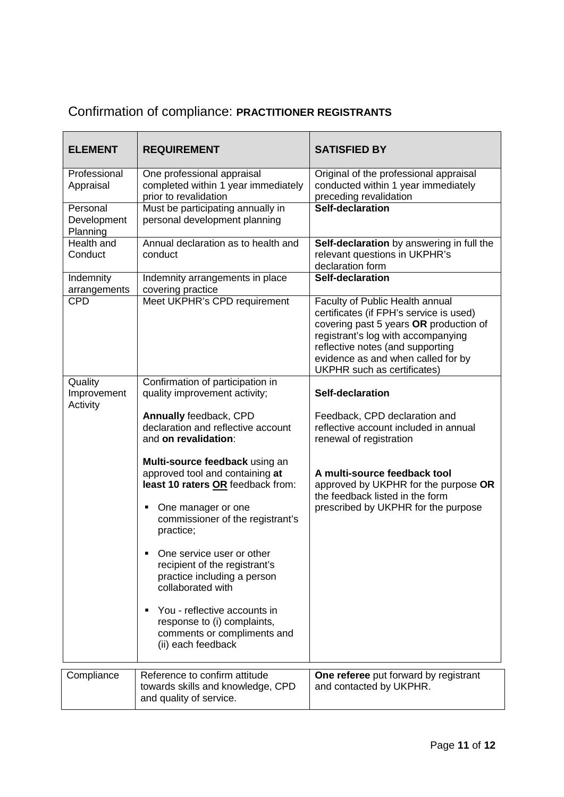# Confirmation of compliance: **PRACTITIONER REGISTRANTS**

| <b>ELEMENT</b>                      | <b>REQUIREMENT</b>                                                                                                                                                                 | <b>SATISFIED BY</b>                                                                                                                                                                                                                                                        |
|-------------------------------------|------------------------------------------------------------------------------------------------------------------------------------------------------------------------------------|----------------------------------------------------------------------------------------------------------------------------------------------------------------------------------------------------------------------------------------------------------------------------|
| Professional<br>Appraisal           | One professional appraisal<br>completed within 1 year immediately<br>prior to revalidation                                                                                         | Original of the professional appraisal<br>conducted within 1 year immediately<br>preceding revalidation                                                                                                                                                                    |
| Personal<br>Development<br>Planning | Must be participating annually in<br>personal development planning                                                                                                                 | Self-declaration                                                                                                                                                                                                                                                           |
| Health and<br>Conduct               | Annual declaration as to health and<br>conduct                                                                                                                                     | Self-declaration by answering in full the<br>relevant questions in UKPHR's<br>declaration form                                                                                                                                                                             |
| Indemnity<br>arrangements           | Indemnity arrangements in place<br>covering practice                                                                                                                               | Self-declaration                                                                                                                                                                                                                                                           |
| <b>CPD</b>                          | Meet UKPHR's CPD requirement                                                                                                                                                       | Faculty of Public Health annual<br>certificates (if FPH's service is used)<br>covering past 5 years OR production of<br>registrant's log with accompanying<br>reflective notes (and supporting<br>evidence as and when called for by<br><b>UKPHR</b> such as certificates) |
| Quality<br>Improvement<br>Activity  | Confirmation of participation in<br>quality improvement activity;                                                                                                                  | Self-declaration                                                                                                                                                                                                                                                           |
|                                     | Annually feedback, CPD<br>declaration and reflective account<br>and on revalidation:                                                                                               | Feedback, CPD declaration and<br>reflective account included in annual<br>renewal of registration                                                                                                                                                                          |
|                                     | Multi-source feedback using an<br>approved tool and containing at<br>least 10 raters OR feedback from:<br>One manager or one<br>٠<br>commissioner of the registrant's<br>practice; | A multi-source feedback tool<br>approved by UKPHR for the purpose OR<br>the feedback listed in the form<br>prescribed by UKPHR for the purpose                                                                                                                             |
|                                     | One service user or other<br>٠<br>recipient of the registrant's<br>practice including a person<br>collaborated with                                                                |                                                                                                                                                                                                                                                                            |
|                                     | You - reflective accounts in<br>٠<br>response to (i) complaints,<br>comments or compliments and<br>(ii) each feedback                                                              |                                                                                                                                                                                                                                                                            |
| Compliance                          | Reference to confirm attitude<br>towards skills and knowledge, CPD<br>and quality of service.                                                                                      | One referee put forward by registrant<br>and contacted by UKPHR.                                                                                                                                                                                                           |